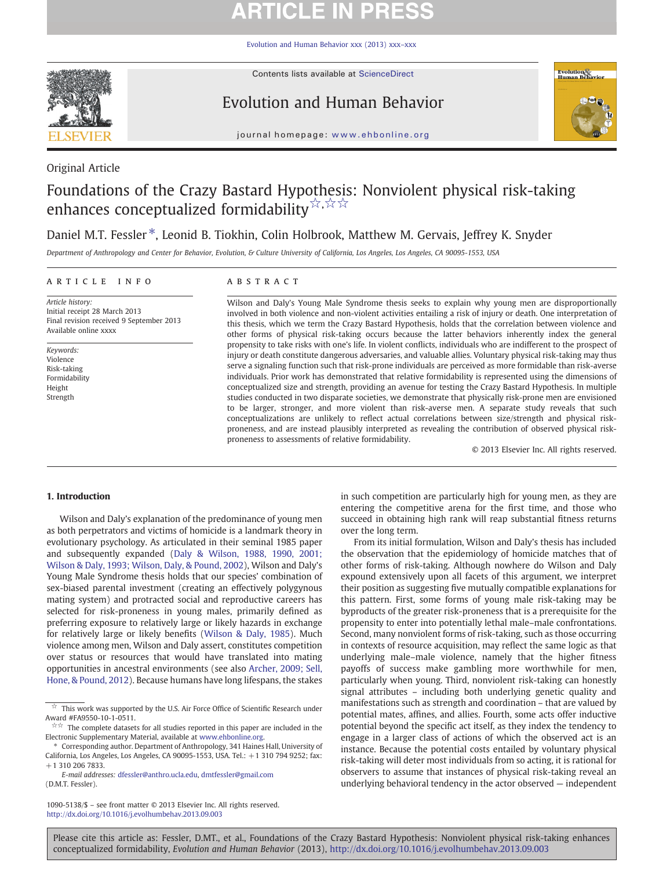# **ARTICLE IN PRESS**

[Evolution and Human Behavior xxx \(2013\) xxx](http://dx.doi.org/10.1016/j.evolhumbehav.2013.09.003)–xxx



Contents lists available at ScienceDirect

# Evolution and Human Behavior



journal homepage: www.ehbonline.org

# Original Article

# Foundations of the Crazy Bastard Hypothesis: Nonviolent physical risk-taking enhances conceptualized formidability ${}^{\tilde{\chi},\tilde{\chi}\tilde{\chi}\tilde{\chi}}$

# Daniel M.T. Fessler<sup>\*</sup>, Leonid B. Tiokhin, Colin Holbrook, Matthew M. Gervais, Jeffrey K. Snyder

Department of Anthropology and Center for Behavior, Evolution, & Culture University of California, Los Angeles, Los Angeles, CA 90095-1553, USA

# article info abstract

Article history: Initial receipt 28 March 2013 Final revision received 9 September 2013 Available online xxxx

Keywords: Violence Risk-taking Formidability Height Strength

Wilson and Daly's Young Male Syndrome thesis seeks to explain why young men are disproportionally involved in both violence and non-violent activities entailing a risk of injury or death. One interpretation of this thesis, which we term the Crazy Bastard Hypothesis, holds that the correlation between violence and other forms of physical risk-taking occurs because the latter behaviors inherently index the general propensity to take risks with one's life. In violent conflicts, individuals who are indifferent to the prospect of injury or death constitute dangerous adversaries, and valuable allies. Voluntary physical risk-taking may thus serve a signaling function such that risk-prone individuals are perceived as more formidable than risk-averse individuals. Prior work has demonstrated that relative formidability is represented using the dimensions of conceptualized size and strength, providing an avenue for testing the Crazy Bastard Hypothesis. In multiple studies conducted in two disparate societies, we demonstrate that physically risk-prone men are envisioned to be larger, stronger, and more violent than risk-averse men. A separate study reveals that such conceptualizations are unlikely to reflect actual correlations between size/strength and physical riskproneness, and are instead plausibly interpreted as revealing the contribution of observed physical riskproneness to assessments of relative formidability.

© 2013 Elsevier Inc. All rights reserved.

# 1. Introduction

Wilson and Daly's explanation of the predominance of young men as both perpetrators and victims of homicide is a landmark theory in evolutionary psychology. As articulated in their seminal 1985 paper and subsequently expanded [\(Daly & Wilson, 1988, 1990, 2001;](#page-6-0) [Wilson & Daly, 1993; Wilson, Daly, & Pound, 2002\)](#page-6-0), Wilson and Daly's Young Male Syndrome thesis holds that our species' combination of sex-biased parental investment (creating an effectively polygynous mating system) and protracted social and reproductive careers has selected for risk-proneness in young males, primarily defined as preferring exposure to relatively large or likely hazards in exchange for relatively large or likely benefits [\(Wilson & Daly, 1985](#page-7-0)). Much violence among men, Wilson and Daly assert, constitutes competition over status or resources that would have translated into mating opportunities in ancestral environments (see also [Archer, 2009; Sell,](#page-6-0) [Hone, & Pound, 2012](#page-6-0)). Because humans have long lifespans, the stakes

in such competition are particularly high for young men, as they are entering the competitive arena for the first time, and those who succeed in obtaining high rank will reap substantial fitness returns over the long term.

From its initial formulation, Wilson and Daly's thesis has included the observation that the epidemiology of homicide matches that of other forms of risk-taking. Although nowhere do Wilson and Daly expound extensively upon all facets of this argument, we interpret their position as suggesting five mutually compatible explanations for this pattern. First, some forms of young male risk-taking may be byproducts of the greater risk-proneness that is a prerequisite for the propensity to enter into potentially lethal male–male confrontations. Second, many nonviolent forms of risk-taking, such as those occurring in contexts of resource acquisition, may reflect the same logic as that underlying male–male violence, namely that the higher fitness payoffs of success make gambling more worthwhile for men, particularly when young. Third, nonviolent risk-taking can honestly signal attributes – including both underlying genetic quality and manifestations such as strength and coordination – that are valued by potential mates, affines, and allies. Fourth, some acts offer inductive potential beyond the specific act itself, as they index the tendency to engage in a larger class of actions of which the observed act is an instance. Because the potential costs entailed by voluntary physical risk-taking will deter most individuals from so acting, it is rational for observers to assume that instances of physical risk-taking reveal an underlying behavioral tendency in the actor observed — independent

This work was supported by the U.S. Air Force Office of Scientific Research under Award #FA9550-10-1-0511.

 $\forall \vec{x}$  The complete datasets for all studies reported in this paper are included in the Electronic Supplementary Material, available at [www.ehbonline.org.](http://www.ehbonline.org)

<sup>⁎</sup> Corresponding author. Department of Anthropology, 341 Haines Hall, University of California, Los Angeles, Los Angeles, CA 90095-1553, USA. Tel.: +1 310 794 9252; fax: +1 310 206 7833.

E-mail addresses: [dfessler@anthro.ucla.edu](mailto:dfessler@anthro.ucla.edu), [dmtfessler@gmail.com](mailto:dmtfessler@gmail.com) (D.M.T. Fessler).

<sup>1090-5138/\$</sup> – see front matter © 2013 Elsevier Inc. All rights reserved. <http://dx.doi.org/10.1016/j.evolhumbehav.2013.09.003>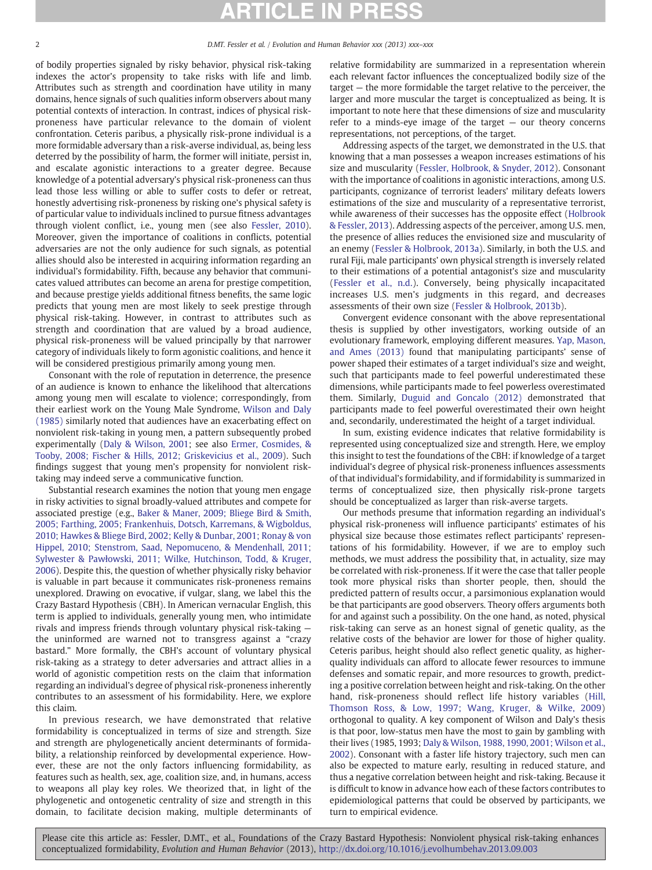of bodily properties signaled by risky behavior, physical risk-taking indexes the actor's propensity to take risks with life and limb. Attributes such as strength and coordination have utility in many domains, hence signals of such qualities inform observers about many potential contexts of interaction. In contrast, indices of physical riskproneness have particular relevance to the domain of violent confrontation. Ceteris paribus, a physically risk-prone individual is a more formidable adversary than a risk-averse individual, as, being less deterred by the possibility of harm, the former will initiate, persist in, and escalate agonistic interactions to a greater degree. Because knowledge of a potential adversary's physical risk-proneness can thus lead those less willing or able to suffer costs to defer or retreat, honestly advertising risk-proneness by risking one's physical safety is of particular value to individuals inclined to pursue fitness advantages through violent conflict, i.e., young men (see also [Fessler, 2010](#page-7-0)). Moreover, given the importance of coalitions in conflicts, potential adversaries are not the only audience for such signals, as potential allies should also be interested in acquiring information regarding an individual's formidability. Fifth, because any behavior that communicates valued attributes can become an arena for prestige competition, and because prestige yields additional fitness benefits, the same logic predicts that young men are most likely to seek prestige through physical risk-taking. However, in contrast to attributes such as strength and coordination that are valued by a broad audience, physical risk-proneness will be valued principally by that narrower category of individuals likely to form agonistic coalitions, and hence it will be considered prestigious primarily among young men.

Consonant with the role of reputation in deterrence, the presence of an audience is known to enhance the likelihood that altercations among young men will escalate to violence; correspondingly, from their earliest work on the Young Male Syndrome, [Wilson and Daly](#page-7-0) [\(1985\)](#page-7-0) similarly noted that audiences have an exacerbating effect on nonviolent risk-taking in young men, a pattern subsequently probed experimentally [\(Daly & Wilson, 2001;](#page-6-0) see also [Ermer, Cosmides, &](#page-7-0) [Tooby, 2008; Fischer & Hills, 2012; Griskevicius et al., 2009](#page-7-0)). Such findings suggest that young men's propensity for nonviolent risktaking may indeed serve a communicative function.

Substantial research examines the notion that young men engage in risky activities to signal broadly-valued attributes and compete for associated prestige (e.g., [Baker & Maner, 2009; Bliege Bird & Smith,](#page-6-0) [2005; Farthing, 2005; Frankenhuis, Dotsch, Karremans, & Wigboldus,](#page-6-0) [2010; Hawkes & Bliege Bird, 2002; Kelly & Dunbar, 2001; Ronay & von](#page-6-0) [Hippel, 2010; Stenstrom, Saad, Nepomuceno, & Mendenhall, 2011;](#page-6-0) Sylwester & Pawł[owski, 2011; Wilke, Hutchinson, Todd, & Kruger,](#page-6-0) [2006\)](#page-6-0). Despite this, the question of whether physically risky behavior is valuable in part because it communicates risk-proneness remains unexplored. Drawing on evocative, if vulgar, slang, we label this the Crazy Bastard Hypothesis (CBH). In American vernacular English, this term is applied to individuals, generally young men, who intimidate rivals and impress friends through voluntary physical risk-taking the uninformed are warned not to transgress against a "crazy bastard." More formally, the CBH's account of voluntary physical risk-taking as a strategy to deter adversaries and attract allies in a world of agonistic competition rests on the claim that information regarding an individual's degree of physical risk-proneness inherently contributes to an assessment of his formidability. Here, we explore this claim.

In previous research, we have demonstrated that relative formidability is conceptualized in terms of size and strength. Size and strength are phylogenetically ancient determinants of formidability, a relationship reinforced by developmental experience. However, these are not the only factors influencing formidability, as features such as health, sex, age, coalition size, and, in humans, access to weapons all play key roles. We theorized that, in light of the phylogenetic and ontogenetic centrality of size and strength in this domain, to facilitate decision making, multiple determinants of relative formidability are summarized in a representation wherein each relevant factor influences the conceptualized bodily size of the target — the more formidable the target relative to the perceiver, the larger and more muscular the target is conceptualized as being. It is important to note here that these dimensions of size and muscularity refer to a minds-eye image of the target — our theory concerns representations, not perceptions, of the target.

Addressing aspects of the target, we demonstrated in the U.S. that knowing that a man possesses a weapon increases estimations of his size and muscularity [\(Fessler, Holbrook, & Snyder, 2012](#page-7-0)). Consonant with the importance of coalitions in agonistic interactions, among U.S. participants, cognizance of terrorist leaders' military defeats lowers estimations of the size and muscularity of a representative terrorist, while awareness of their successes has the opposite effect ([Holbrook](#page-7-0) [& Fessler, 2013](#page-7-0)). Addressing aspects of the perceiver, among U.S. men, the presence of allies reduces the envisioned size and muscularity of an enemy ([Fessler & Holbrook, 2013a](#page-7-0)). Similarly, in both the U.S. and rural Fiji, male participants' own physical strength is inversely related to their estimations of a potential antagonist's size and muscularity ([Fessler et al., n.d.\)](#page-7-0). Conversely, being physically incapacitated increases U.S. men's judgments in this regard, and decreases assessments of their own size ([Fessler & Holbrook, 2013b\)](#page-7-0).

Convergent evidence consonant with the above representational thesis is supplied by other investigators, working outside of an evolutionary framework, employing different measures. [Yap, Mason,](#page-7-0) [and Ames \(2013\)](#page-7-0) found that manipulating participants' sense of power shaped their estimates of a target individual's size and weight, such that participants made to feel powerful underestimated these dimensions, while participants made to feel powerless overestimated them. Similarly, [Duguid and Goncalo \(2012\)](#page-7-0) demonstrated that participants made to feel powerful overestimated their own height and, secondarily, underestimated the height of a target individual.

In sum, existing evidence indicates that relative formidability is represented using conceptualized size and strength. Here, we employ this insight to test the foundations of the CBH: if knowledge of a target individual's degree of physical risk-proneness influences assessments of that individual's formidability, and if formidability is summarized in terms of conceptualized size, then physically risk-prone targets should be conceptualized as larger than risk-averse targets.

Our methods presume that information regarding an individual's physical risk-proneness will influence participants' estimates of his physical size because those estimates reflect participants' representations of his formidability. However, if we are to employ such methods, we must address the possibility that, in actuality, size may be correlated with risk-proneness. If it were the case that taller people took more physical risks than shorter people, then, should the predicted pattern of results occur, a parsimonious explanation would be that participants are good observers. Theory offers arguments both for and against such a possibility. On the one hand, as noted, physical risk-taking can serve as an honest signal of genetic quality, as the relative costs of the behavior are lower for those of higher quality. Ceteris paribus, height should also reflect genetic quality, as higherquality individuals can afford to allocate fewer resources to immune defenses and somatic repair, and more resources to growth, predicting a positive correlation between height and risk-taking. On the other hand, risk-proneness should reflect life history variables [\(Hill,](#page-7-0) [Thomson Ross, & Low, 1997; Wang, Kruger, & Wilke, 2009\)](#page-7-0) orthogonal to quality. A key component of Wilson and Daly's thesis is that poor, low-status men have the most to gain by gambling with their lives (1985, 1993; [Daly & Wilson, 1988, 1990, 2001; Wilson et al.,](#page-6-0) [2002\)](#page-6-0). Consonant with a faster life history trajectory, such men can also be expected to mature early, resulting in reduced stature, and thus a negative correlation between height and risk-taking. Because it is difficult to know in advance how each of these factors contributes to epidemiological patterns that could be observed by participants, we turn to empirical evidence.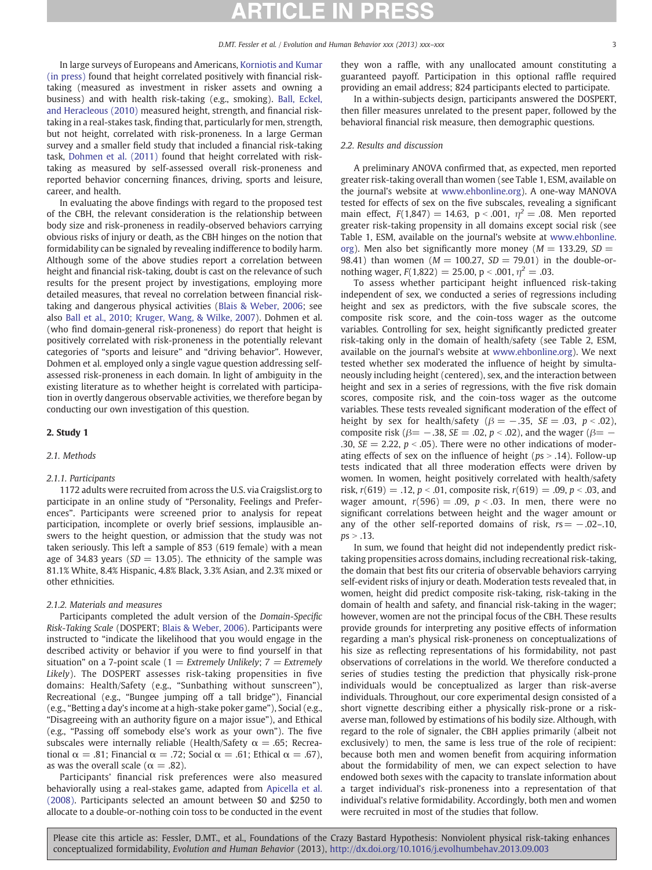In large surveys of Europeans and Americans, [Korniotis and Kumar](#page-7-0) [\(in press\)](#page-7-0) found that height correlated positively with financial risktaking (measured as investment in risker assets and owning a business) and with health risk-taking (e.g., smoking). [Ball, Eckel,](#page-6-0) [and Heracleous \(2010\)](#page-6-0) measured height, strength, and financial risktaking in a real-stakes task, finding that, particularly for men, strength, but not height, correlated with risk-proneness. In a large German survey and a smaller field study that included a financial risk-taking task, [Dohmen et al. \(2011\)](#page-6-0) found that height correlated with risktaking as measured by self-assessed overall risk-proneness and reported behavior concerning finances, driving, sports and leisure, career, and health.

In evaluating the above findings with regard to the proposed test of the CBH, the relevant consideration is the relationship between body size and risk-proneness in readily-observed behaviors carrying obvious risks of injury or death, as the CBH hinges on the notion that formidability can be signaled by revealing indifference to bodily harm. Although some of the above studies report a correlation between height and financial risk-taking, doubt is cast on the relevance of such results for the present project by investigations, employing more detailed measures, that reveal no correlation between financial risktaking and dangerous physical activities [\(Blais & Weber, 2006;](#page-6-0) see also [Ball et al., 2010; Kruger, Wang, & Wilke, 2007\)](#page-6-0). Dohmen et al. (who find domain-general risk-proneness) do report that height is positively correlated with risk-proneness in the potentially relevant categories of "sports and leisure" and "driving behavior". However, Dohmen et al. employed only a single vague question addressing selfassessed risk-proneness in each domain. In light of ambiguity in the existing literature as to whether height is correlated with participation in overtly dangerous observable activities, we therefore began by conducting our own investigation of this question.

# 2. Study 1

### 2.1. Methods

## 2.1.1. Participants

1172 adults were recruited from across the U.S. via Craigslist.org to participate in an online study of "Personality, Feelings and Preferences". Participants were screened prior to analysis for repeat participation, incomplete or overly brief sessions, implausible answers to the height question, or admission that the study was not taken seriously. This left a sample of 853 (619 female) with a mean age of 34.83 years ( $SD = 13.05$ ). The ethnicity of the sample was 81.1% White, 8.4% Hispanic, 4.8% Black, 3.3% Asian, and 2.3% mixed or other ethnicities.

### 2.1.2. Materials and measures

Participants completed the adult version of the Domain-Specific Risk-Taking Scale (DOSPERT; [Blais & Weber, 2006](#page-6-0)). Participants were instructed to "indicate the likelihood that you would engage in the described activity or behavior if you were to find yourself in that situation" on a 7-point scale ( $1 =$  Extremely Unlikely;  $7 =$  Extremely Likely). The DOSPERT assesses risk-taking propensities in five domains: Health/Safety (e.g., "Sunbathing without sunscreen"), Recreational (e.g., "Bungee jumping off a tall bridge"), Financial (e.g., "Betting a day's income at a high-stake poker game"), Social (e.g., "Disagreeing with an authority figure on a major issue"), and Ethical (e.g., "Passing off somebody else's work as your own"). The five subscales were internally reliable (Health/Safety  $\alpha = .65$ ; Recreational  $\alpha = .81$ ; Financial  $\alpha = .72$ ; Social  $\alpha = .61$ ; Ethical  $\alpha = .67$ ), as was the overall scale ( $\alpha = .82$ ).

Participants' financial risk preferences were also measured behaviorally using a real-stakes game, adapted from [Apicella et al.](#page-6-0) [\(2008\).](#page-6-0) Participants selected an amount between \$0 and \$250 to allocate to a double-or-nothing coin toss to be conducted in the event they won a raffle, with any unallocated amount constituting a guaranteed payoff. Participation in this optional raffle required providing an email address; 824 participants elected to participate.

In a within-subjects design, participants answered the DOSPERT, then filler measures unrelated to the present paper, followed by the behavioral financial risk measure, then demographic questions.

## 2.2. Results and discussion

A preliminary ANOVA confirmed that, as expected, men reported greater risk-taking overall than women (see Table 1, ESM, available on the journal's website at [www.ehbonline.org\)](http://www.ehbonline.org). A one-way MANOVA tested for effects of sex on the five subscales, revealing a significant main effect,  $F(1,847) = 14.63$ ,  $p < .001$ ,  $\eta^2 = .08$ . Men reported greater risk-taking propensity in all domains except social risk (see Table 1, ESM, available on the journal's website at [www.ehbonline.](http://www.ehbonline.org) [org\)](http://www.ehbonline.org). Men also bet significantly more money ( $M = 133.29$ ,  $SD =$ 98.41) than women ( $M = 100.27$ ,  $SD = 79.01$ ) in the double-ornothing wager,  $F(1,822) = 25.00$ ,  $p < .001$ ,  $\eta^2 = .03$ .

To assess whether participant height influenced risk-taking independent of sex, we conducted a series of regressions including height and sex as predictors, with the five subscale scores, the composite risk score, and the coin-toss wager as the outcome variables. Controlling for sex, height significantly predicted greater risk-taking only in the domain of health/safety (see Table 2, ESM, available on the journal's website at [www.ehbonline.org](http://www.ehbonline.org)). We next tested whether sex moderated the influence of height by simultaneously including height (centered), sex, and the interaction between height and sex in a series of regressions, with the five risk domain scores, composite risk, and the coin-toss wager as the outcome variables. These tests revealed significant moderation of the effect of height by sex for health/safety ( $\beta = -.35$ ,  $SE = .03$ ,  $p < .02$ ), composite risk ( $\beta$ = −.38, SE = .02, p < .02), and the wager ( $\beta$ = − .30,  $SE = 2.22$ ,  $p < .05$ ). There were no other indications of moderating effects of sex on the influence of height ( $ps > .14$ ). Follow-up tests indicated that all three moderation effects were driven by women. In women, height positively correlated with health/safety risk,  $r(619) = .12$ ,  $p < .01$ , composite risk,  $r(619) = .09$ ,  $p < .03$ , and wager amount,  $r(596) = .09$ ,  $p < .03$ . In men, there were no significant correlations between height and the wager amount or any of the other self-reported domains of risk,  $rs = -.02-.10$ ,  $ps > .13$ .

In sum, we found that height did not independently predict risktaking propensities across domains, including recreational risk-taking, the domain that best fits our criteria of observable behaviors carrying self-evident risks of injury or death. Moderation tests revealed that, in women, height did predict composite risk-taking, risk-taking in the domain of health and safety, and financial risk-taking in the wager; however, women are not the principal focus of the CBH. These results provide grounds for interpreting any positive effects of information regarding a man's physical risk-proneness on conceptualizations of his size as reflecting representations of his formidability, not past observations of correlations in the world. We therefore conducted a series of studies testing the prediction that physically risk-prone individuals would be conceptualized as larger than risk-averse individuals. Throughout, our core experimental design consisted of a short vignette describing either a physically risk-prone or a riskaverse man, followed by estimations of his bodily size. Although, with regard to the role of signaler, the CBH applies primarily (albeit not exclusively) to men, the same is less true of the role of recipient: because both men and women benefit from acquiring information about the formidability of men, we can expect selection to have endowed both sexes with the capacity to translate information about a target individual's risk-proneness into a representation of that individual's relative formidability. Accordingly, both men and women were recruited in most of the studies that follow.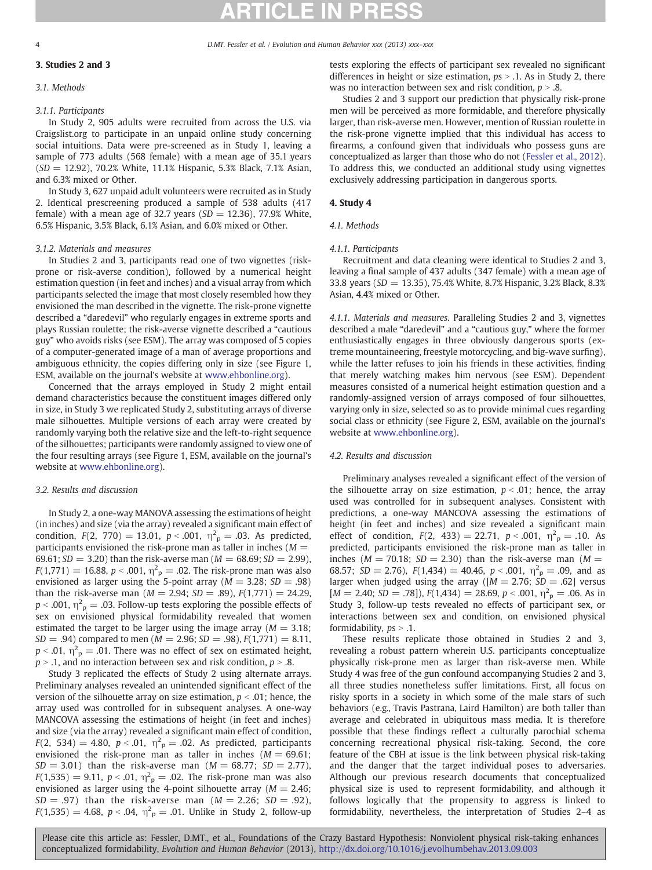# 4 D.MT. Fessler et al. / Evolution and Human Behavior xxx (2013) xxx–xxx

# 3. Studies 2 and 3

# 3.1. Methods

# 3.1.1. Participants

In Study 2, 905 adults were recruited from across the U.S. via Craigslist.org to participate in an unpaid online study concerning social intuitions. Data were pre-screened as in Study 1, leaving a sample of 773 adults (568 female) with a mean age of 35.1 years  $(SD = 12.92)$ , 70.2% White, 11.1% Hispanic, 5.3% Black, 7.1% Asian, and 6.3% mixed or Other.

In Study 3, 627 unpaid adult volunteers were recruited as in Study 2. Identical prescreening produced a sample of 538 adults (417 female) with a mean age of 32.7 years ( $SD = 12.36$ ), 77.9% White, 6.5% Hispanic, 3.5% Black, 6.1% Asian, and 6.0% mixed or Other.

# 3.1.2. Materials and measures

In Studies 2 and 3, participants read one of two vignettes (riskprone or risk-averse condition), followed by a numerical height estimation question (in feet and inches) and a visual array from which participants selected the image that most closely resembled how they envisioned the man described in the vignette. The risk-prone vignette described a "daredevil" who regularly engages in extreme sports and plays Russian roulette; the risk-averse vignette described a "cautious guy" who avoids risks (see ESM). The array was composed of 5 copies of a computer-generated image of a man of average proportions and ambiguous ethnicity, the copies differing only in size (see Figure 1, ESM, available on the journal's website at [www.ehbonline.org](http://www.ehbonline.org)).

Concerned that the arrays employed in Study 2 might entail demand characteristics because the constituent images differed only in size, in Study 3 we replicated Study 2, substituting arrays of diverse male silhouettes. Multiple versions of each array were created by randomly varying both the relative size and the left-to-right sequence of the silhouettes; participants were randomly assigned to view one of the four resulting arrays (see Figure 1, ESM, available on the journal's website at [www.ehbonline.org\)](http://www.ehbonline.org).

# 3.2. Results and discussion

In Study 2, a one-way MANOVA assessing the estimations of height (in inches) and size (via the array) revealed a significant main effect of condition,  $F(2, 770) = 13.01$ ,  $p < .001$ ,  $\eta_{p}^{2} = .03$ . As predicted, participants envisioned the risk-prone man as taller in inches ( $M =$ 69.61; SD = 3.20) than the risk-averse man ( $M = 68.69$ ; SD = 2.99),  $F(1,771) = 16.88, p < .001, \, \eta^2{}_p = .02.$  The risk-prone man was also envisioned as larger using the 5-point array ( $M = 3.28$ ;  $SD = .98$ ) than the risk-averse man ( $M = 2.94$ ;  $SD = .89$ ),  $F(1,771) = 24.29$ ,  $p < .001$ ,  $\eta^2_{\ p} = .03$ . Follow-up tests exploring the possible effects of sex on envisioned physical formidability revealed that women estimated the target to be larger using the image array ( $M = 3.18$ ;  $SD = .94$ ) compared to men ( $M = 2.96$ ;  $SD = .98$ ),  $F(1,771) = 8.11$ ,  $p < .01$ ,  $\eta^2\textsubscript{ p} = .01$ . There was no effect of sex on estimated height,  $p > 0.1$ , and no interaction between sex and risk condition,  $p > 0.8$ .

Study 3 replicated the effects of Study 2 using alternate arrays. Preliminary analyses revealed an unintended significant effect of the version of the silhouette array on size estimation,  $p < .01$ ; hence, the array used was controlled for in subsequent analyses. A one-way MANCOVA assessing the estimations of height (in feet and inches) and size (via the array) revealed a significant main effect of condition,  $F(2, 534) = 4.80, p < .01, \eta^2$ <sub>p</sub> = .02. As predicted, participants envisioned the risk-prone man as taller in inches ( $M = 69.61$ ;  $SD = 3.01$ ) than the risk-averse man ( $M = 68.77$ ;  $SD = 2.77$ ),  $F(1,535) = 9.11$ ,  $p < .01$ ,  $\eta^2$ <sub>p</sub> = .02. The risk-prone man was also envisioned as larger using the 4-point silhouette array ( $M = 2.46$ ;  $SD = .97$ ) than the risk-averse man ( $M = 2.26$ ;  $SD = .92$ ),  $F(1,535) = 4.68$ ,  $p < .04$ ,  $\eta^2$ <sub>p</sub> = .01. Unlike in Study 2, follow-up

tests exploring the effects of participant sex revealed no significant differences in height or size estimation,  $ps > .1$ . As in Study 2, there was no interaction between sex and risk condition,  $p > .8$ .

Studies 2 and 3 support our prediction that physically risk-prone men will be perceived as more formidable, and therefore physically larger, than risk-averse men. However, mention of Russian roulette in the risk-prone vignette implied that this individual has access to firearms, a confound given that individuals who possess guns are conceptualized as larger than those who do not [\(Fessler et al., 2012](#page-7-0)). To address this, we conducted an additional study using vignettes exclusively addressing participation in dangerous sports.

# 4. Study 4

# 4.1. Methods

# 4.1.1. Participants

Recruitment and data cleaning were identical to Studies 2 and 3, leaving a final sample of 437 adults (347 female) with a mean age of 33.8 years (SD = 13.35), 75.4% White, 8.7% Hispanic, 3.2% Black, 8.3% Asian, 4.4% mixed or Other.

4.1.1. Materials and measures. Paralleling Studies 2 and 3, vignettes described a male "daredevil" and a "cautious guy," where the former enthusiastically engages in three obviously dangerous sports (extreme mountaineering, freestyle motorcycling, and big-wave surfing), while the latter refuses to join his friends in these activities, finding that merely watching makes him nervous (see ESM). Dependent measures consisted of a numerical height estimation question and a randomly-assigned version of arrays composed of four silhouettes, varying only in size, selected so as to provide minimal cues regarding social class or ethnicity (see Figure 2, ESM, available on the journal's website at [www.ehbonline.org\)](http://www.ehbonline.org).

### 4.2. Results and discussion

Preliminary analyses revealed a significant effect of the version of the silhouette array on size estimation,  $p < .01$ ; hence, the array used was controlled for in subsequent analyses. Consistent with predictions, a one-way MANCOVA assessing the estimations of height (in feet and inches) and size revealed a significant main effect of condition,  $F(2, 433) = 22.71$ ,  $p < .001$ ,  $\eta^2$ <sub>p</sub> = .10. As predicted, participants envisioned the risk-prone man as taller in inches ( $M = 70.18$ ; SD = 2.30) than the risk-averse man ( $M =$ 68.57; SD = 2.76),  $F(1,434) = 40.46$ ,  $p < .001$ ,  $\eta^2$ <sub>p</sub> = .09, and as larger when judged using the array ( $[M = 2.76; SD = .62]$  versus  $[M = 2.40; SD = .78]$ ,  $F(1,434) = 28.69, p < .001, \eta^2$ <sub>p</sub> = .06. As in Study 3, follow-up tests revealed no effects of participant sex, or interactions between sex and condition, on envisioned physical formidability,  $ps > .1$ .

These results replicate those obtained in Studies 2 and 3, revealing a robust pattern wherein U.S. participants conceptualize physically risk-prone men as larger than risk-averse men. While Study 4 was free of the gun confound accompanying Studies 2 and 3, all three studies nonetheless suffer limitations. First, all focus on risky sports in a society in which some of the male stars of such behaviors (e.g., Travis Pastrana, Laird Hamilton) are both taller than average and celebrated in ubiquitous mass media. It is therefore possible that these findings reflect a culturally parochial schema concerning recreational physical risk-taking. Second, the core feature of the CBH at issue is the link between physical risk-taking and the danger that the target individual poses to adversaries. Although our previous research documents that conceptualized physical size is used to represent formidability, and although it follows logically that the propensity to aggress is linked to formidability, nevertheless, the interpretation of Studies 2–4 as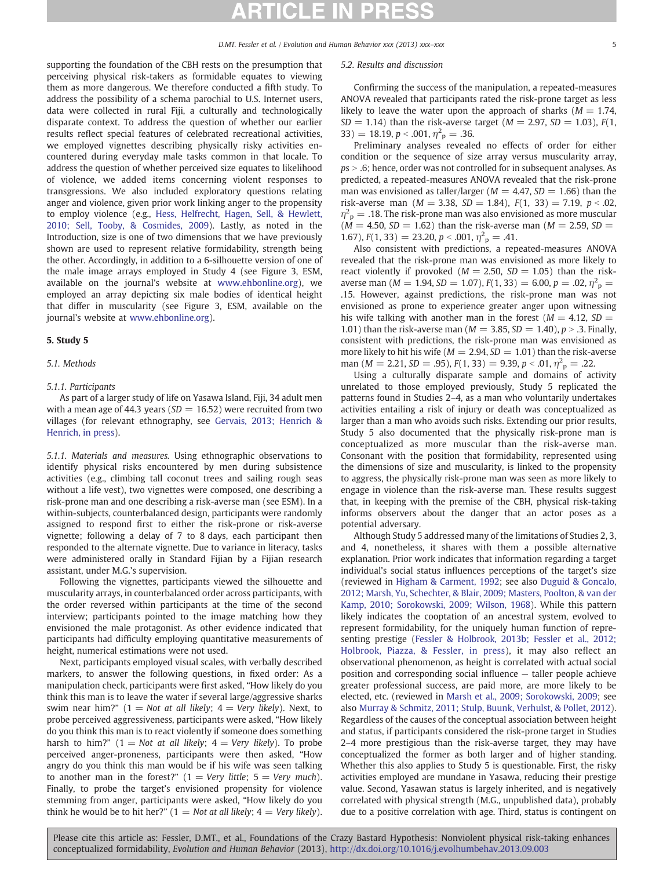supporting the foundation of the CBH rests on the presumption that perceiving physical risk-takers as formidable equates to viewing them as more dangerous. We therefore conducted a fifth study. To address the possibility of a schema parochial to U.S. Internet users, data were collected in rural Fiji, a culturally and technologically disparate context. To address the question of whether our earlier results reflect special features of celebrated recreational activities, we employed vignettes describing physically risky activities encountered during everyday male tasks common in that locale. To address the question of whether perceived size equates to likelihood of violence, we added items concerning violent responses to transgressions. We also included exploratory questions relating anger and violence, given prior work linking anger to the propensity to employ violence (e.g., [Hess, Helfrecht, Hagen, Sell, & Hewlett,](#page-7-0) [2010; Sell, Tooby, & Cosmides, 2009](#page-7-0)). Lastly, as noted in the Introduction, size is one of two dimensions that we have previously shown are used to represent relative formidability, strength being the other. Accordingly, in addition to a 6-silhouette version of one of the male image arrays employed in Study 4 (see Figure 3, ESM, available on the journal's website at [www.ehbonline.org](http://www.ehbonline.org)), we employed an array depicting six male bodies of identical height that differ in muscularity (see Figure 3, ESM, available on the journal's website at [www.ehbonline.org](http://www.ehbonline.org)).

### 5. Study 5

# 5.1. Methods

# 5.1.1. Participants

As part of a larger study of life on Yasawa Island, Fiji, 34 adult men with a mean age of 44.3 years ( $SD = 16.52$ ) were recruited from two villages (for relevant ethnography, see [Gervais, 2013; Henrich &](#page-7-0) [Henrich, in press](#page-7-0)).

5.1.1. Materials and measures. Using ethnographic observations to identify physical risks encountered by men during subsistence activities (e.g., climbing tall coconut trees and sailing rough seas without a life vest), two vignettes were composed, one describing a risk-prone man and one describing a risk-averse man (see ESM). In a within-subjects, counterbalanced design, participants were randomly assigned to respond first to either the risk-prone or risk-averse vignette; following a delay of 7 to 8 days, each participant then responded to the alternate vignette. Due to variance in literacy, tasks were administered orally in Standard Fijian by a Fijian research assistant, under M.G.'s supervision.

Following the vignettes, participants viewed the silhouette and muscularity arrays, in counterbalanced order across participants, with the order reversed within participants at the time of the second interview; participants pointed to the image matching how they envisioned the male protagonist. As other evidence indicated that participants had difficulty employing quantitative measurements of height, numerical estimations were not used.

Next, participants employed visual scales, with verbally described markers, to answer the following questions, in fixed order: As a manipulation check, participants were first asked, "How likely do you think this man is to leave the water if several large/aggressive sharks swim near him?" (1 = Not at all likely;  $4 =$  Very likely). Next, to probe perceived aggressiveness, participants were asked, "How likely do you think this man is to react violently if someone does something harsh to him?" (1 = Not at all likely;  $4 = \text{Very}$  likely). To probe perceived anger-proneness, participants were then asked, "How angry do you think this man would be if his wife was seen talking to another man in the forest?" ( $1 = \text{Very little}$ ;  $5 = \text{Very much}$ ). Finally, to probe the target's envisioned propensity for violence stemming from anger, participants were asked, "How likely do you think he would be to hit her?" (1 = Not at all likely;  $4 = V$ ery likely).

### 5.2. Results and discussion

Confirming the success of the manipulation, a repeated-measures ANOVA revealed that participants rated the risk-prone target as less likely to leave the water upon the approach of sharks  $(M = 1.74,$  $SD = 1.14$ ) than the risk-averse target ( $M = 2.97$ ,  $SD = 1.03$ ),  $F(1, 1)$ 33) = 18.19,  $p < .001$ ,  $\eta^2$ <sub>p</sub> = .36.

Preliminary analyses revealed no effects of order for either condition or the sequence of size array versus muscularity array,  $ps > .6$ ; hence, order was not controlled for in subsequent analyses. As predicted, a repeated-measures ANOVA revealed that the risk-prone man was envisioned as taller/larger ( $M = 4.47$ ,  $SD = 1.66$ ) than the risk-averse man ( $M = 3.38$ ,  $SD = 1.84$ ),  $F(1, 33) = 7.19$ ,  $p < .02$ ,  $\eta^2{}_{\rm p} =$  .18. The risk-prone man was also envisioned as more muscular  $(M = 4.50, SD = 1.62)$  than the risk-averse man  $(M = 2.59, SD = 1.62)$ 1.67),  $F(1, 33) = 23.20$ ,  $p < .001$ ,  $\eta^2$ <sub>p</sub> = .41.

Also consistent with predictions, a repeated-measures ANOVA revealed that the risk-prone man was envisioned as more likely to react violently if provoked ( $M = 2.50$ ,  $SD = 1.05$ ) than the riskaverse man ( $M = 1.94$ , SD = 1.07),  $F(1, 33) = 6.00$ ,  $p = .02$ ,  $\eta^2$ <sub>p</sub> = .15. However, against predictions, the risk-prone man was not envisioned as prone to experience greater anger upon witnessing his wife talking with another man in the forest ( $M = 4.12$ , SD = 1.01) than the risk-averse man ( $M = 3.85$ ,  $SD = 1.40$ ),  $p > .3$ . Finally, consistent with predictions, the risk-prone man was envisioned as more likely to hit his wife ( $M = 2.94$ ,  $SD = 1.01$ ) than the risk-averse man ( $M = 2.21$ , SD = .95),  $F(1, 33) = 9.39$ ,  $p < .01$ ,  $\eta^2 = .22$ .

Using a culturally disparate sample and domains of activity unrelated to those employed previously, Study 5 replicated the patterns found in Studies 2–4, as a man who voluntarily undertakes activities entailing a risk of injury or death was conceptualized as larger than a man who avoids such risks. Extending our prior results, Study 5 also documented that the physically risk-prone man is conceptualized as more muscular than the risk-averse man. Consonant with the position that formidability, represented using the dimensions of size and muscularity, is linked to the propensity to aggress, the physically risk-prone man was seen as more likely to engage in violence than the risk-averse man. These results suggest that, in keeping with the premise of the CBH, physical risk-taking informs observers about the danger that an actor poses as a potential adversary.

Although Study 5 addressed many of the limitations of Studies 2, 3, and 4, nonetheless, it shares with them a possible alternative explanation. Prior work indicates that information regarding a target individual's social status influences perceptions of the target's size (reviewed in [Higham & Carment, 1992;](#page-7-0) see also [Duguid & Goncalo,](#page-7-0) [2012; Marsh, Yu, Schechter, & Blair, 2009; Masters, Poolton, & van der](#page-7-0) [Kamp, 2010; Sorokowski, 2009; Wilson, 1968](#page-7-0)). While this pattern likely indicates the cooptation of an ancestral system, evolved to represent formidability, for the uniquely human function of representing prestige [\(Fessler & Holbrook, 2013b; Fessler et al., 2012;](#page-7-0) [Holbrook, Piazza, & Fessler, in press](#page-7-0)), it may also reflect an observational phenomenon, as height is correlated with actual social position and corresponding social influence — taller people achieve greater professional success, are paid more, are more likely to be elected, etc. (reviewed in [Marsh et al., 2009; Sorokowski, 2009](#page-7-0); see also [Murray & Schmitz, 2011; Stulp, Buunk, Verhulst, & Pollet, 2012](#page-7-0)). Regardless of the causes of the conceptual association between height and status, if participants considered the risk-prone target in Studies 2–4 more prestigious than the risk-averse target, they may have conceptualized the former as both larger and of higher standing. Whether this also applies to Study 5 is questionable. First, the risky activities employed are mundane in Yasawa, reducing their prestige value. Second, Yasawan status is largely inherited, and is negatively correlated with physical strength (M.G., unpublished data), probably due to a positive correlation with age. Third, status is contingent on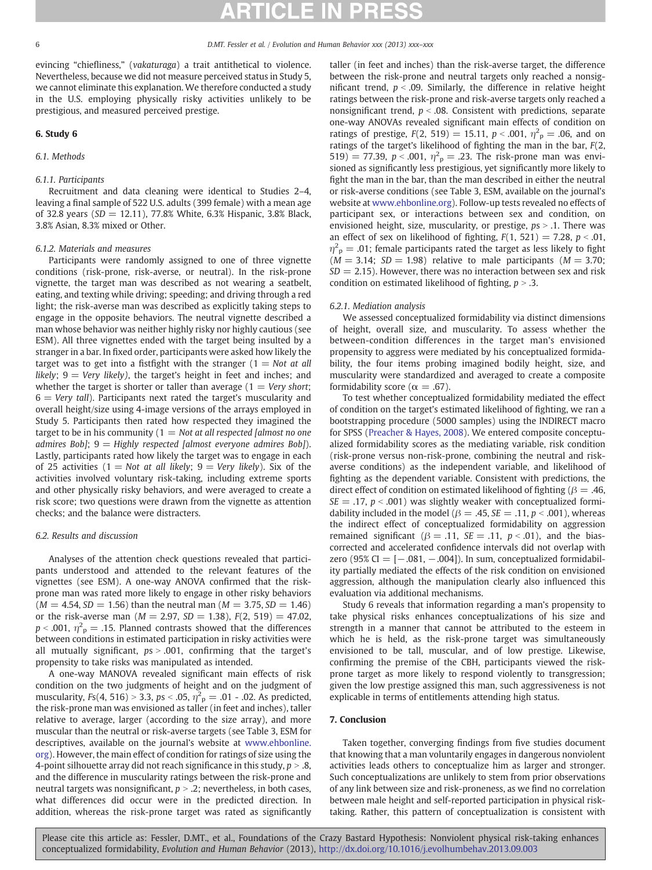evincing "chiefliness," (vakaturaga) a trait antithetical to violence. Nevertheless, because we did not measure perceived status in Study 5, we cannot eliminate this explanation. We therefore conducted a study in the U.S. employing physically risky activities unlikely to be prestigious, and measured perceived prestige.

# 6. Study 6

## 6.1. Methods

# 6.1.1. Participants

Recruitment and data cleaning were identical to Studies 2–4, leaving a final sample of 522 U.S. adults (399 female) with a mean age of 32.8 years ( $SD = 12.11$ ), 77.8% White, 6.3% Hispanic, 3.8% Black, 3.8% Asian, 8.3% mixed or Other.

## 6.1.2. Materials and measures

Participants were randomly assigned to one of three vignette conditions (risk-prone, risk-averse, or neutral). In the risk-prone vignette, the target man was described as not wearing a seatbelt, eating, and texting while driving; speeding; and driving through a red light; the risk-averse man was described as explicitly taking steps to engage in the opposite behaviors. The neutral vignette described a man whose behavior was neither highly risky nor highly cautious (see ESM). All three vignettes ended with the target being insulted by a stranger in a bar. In fixed order, participants were asked how likely the target was to get into a fistfight with the stranger  $(1 = Not at all$ likely;  $9 = \text{Very}$  likely), the target's height in feet and inches; and whether the target is shorter or taller than average  $(1 = Very short;$  $6 = \text{Very } tall$ ). Participants next rated the target's muscularity and overall height/size using 4-image versions of the arrays employed in Study 5. Participants then rated how respected they imagined the target to be in his community ( $1 = Not$  at all respected [almost no one admires Bob];  $9 =$  Highly respected [almost everyone admires Bob]). Lastly, participants rated how likely the target was to engage in each of 25 activities (1 = Not at all likely; 9 = Very likely). Six of the activities involved voluntary risk-taking, including extreme sports and other physically risky behaviors, and were averaged to create a risk score; two questions were drawn from the vignette as attention checks; and the balance were distracters.

### 6.2. Results and discussion

Analyses of the attention check questions revealed that participants understood and attended to the relevant features of the vignettes (see ESM). A one-way ANOVA confirmed that the riskprone man was rated more likely to engage in other risky behaviors  $(M = 4.54, SD = 1.56)$  than the neutral man  $(M = 3.75, SD = 1.46)$ or the risk-averse man ( $M = 2.97$ ,  $SD = 1.38$ ),  $F(2, 519) = 47.02$ ,  $p <$  .001,  $\eta^2{}_{\rm p} =$  .15. Planned contrasts showed that the differences between conditions in estimated participation in risky activities were all mutually significant,  $ps > .001$ , confirming that the target's propensity to take risks was manipulated as intended.

A one-way MANOVA revealed significant main effects of risk condition on the two judgments of height and on the judgment of muscularity, Fs(4, 516) > 3.3, ps < .05,  $\eta_{\rm p}^2 =$  .01 - .02. As predicted, the risk-prone man was envisioned as taller (in feet and inches), taller relative to average, larger (according to the size array), and more muscular than the neutral or risk-averse targets (see Table 3, ESM for descriptives, available on the journal's website at [www.ehbonline.](http://www.ehbonline.org) [org](http://www.ehbonline.org)). However, the main effect of condition for ratings of size using the 4-point silhouette array did not reach significance in this study,  $p > .8$ , and the difference in muscularity ratings between the risk-prone and neutral targets was nonsignificant,  $p > .2$ ; nevertheless, in both cases, what differences did occur were in the predicted direction. In addition, whereas the risk-prone target was rated as significantly taller (in feet and inches) than the risk-averse target, the difference between the risk-prone and neutral targets only reached a nonsignificant trend,  $p < .09$ . Similarly, the difference in relative height ratings between the risk-prone and risk-averse targets only reached a nonsignificant trend,  $p < .08$ . Consistent with predictions, separate one-way ANOVAs revealed significant main effects of condition on ratings of prestige,  $F(2, 519) = 15.11$ ,  $p < .001$ ,  $\eta^2\textsubscript{ p} = .06$ , and on ratings of the target's likelihood of fighting the man in the bar, F(2, 519) = 77.39,  $p < .001$ ,  $\eta^2 = .23$ . The risk-prone man was envisioned as significantly less prestigious, yet significantly more likely to fight the man in the bar, than the man described in either the neutral or risk-averse conditions (see Table 3, ESM, available on the journal's website at [www.ehbonline.org](http://www.ehbonline.org)). Follow-up tests revealed no effects of participant sex, or interactions between sex and condition, on envisioned height, size, muscularity, or prestige,  $ps > .1$ . There was an effect of sex on likelihood of fighting,  $F(1, 521) = 7.28$ ,  $p < .01$ ,  $\eta^2{}_{\rm p} =$  .01; female participants rated the target as less likely to fight  $(M = 3.14; SD = 1.98)$  relative to male participants  $(M = 3.70;$  $SD = 2.15$ ). However, there was no interaction between sex and risk condition on estimated likelihood of fighting,  $p > .3$ .

### 6.2.1. Mediation analysis

We assessed conceptualized formidability via distinct dimensions of height, overall size, and muscularity. To assess whether the between-condition differences in the target man's envisioned propensity to aggress were mediated by his conceptualized formidability, the four items probing imagined bodily height, size, and muscularity were standardized and averaged to create a composite formidability score ( $\alpha = .67$ ).

To test whether conceptualized formidability mediated the effect of condition on the target's estimated likelihood of fighting, we ran a bootstrapping procedure (5000 samples) using the INDIRECT macro for SPSS ([Preacher & Hayes, 2008](#page-7-0)). We entered composite conceptualized formidability scores as the mediating variable, risk condition (risk-prone versus non-risk-prone, combining the neutral and riskaverse conditions) as the independent variable, and likelihood of fighting as the dependent variable. Consistent with predictions, the direct effect of condition on estimated likelihood of fighting ( $\beta = .46$ ,  $SE = .17$ ,  $p < .001$ ) was slightly weaker with conceptualized formidability included in the model ( $\beta = .45$ ,  $SE = .11$ ,  $p < .001$ ), whereas the indirect effect of conceptualized formidability on aggression remained significant ( $\beta = .11$ ,  $SE = .11$ ,  $p < .01$ ), and the biascorrected and accelerated confidence intervals did not overlap with zero (95% CI =  $[-.081, -.004]$ ). In sum, conceptualized formidability partially mediated the effects of the risk condition on envisioned aggression, although the manipulation clearly also influenced this evaluation via additional mechanisms.

Study 6 reveals that information regarding a man's propensity to take physical risks enhances conceptualizations of his size and strength in a manner that cannot be attributed to the esteem in which he is held, as the risk-prone target was simultaneously envisioned to be tall, muscular, and of low prestige. Likewise, confirming the premise of the CBH, participants viewed the riskprone target as more likely to respond violently to transgression; given the low prestige assigned this man, such aggressiveness is not explicable in terms of entitlements attending high status.

## 7. Conclusion

Taken together, converging findings from five studies document that knowing that a man voluntarily engages in dangerous nonviolent activities leads others to conceptualize him as larger and stronger. Such conceptualizations are unlikely to stem from prior observations of any link between size and risk-proneness, as we find no correlation between male height and self-reported participation in physical risktaking. Rather, this pattern of conceptualization is consistent with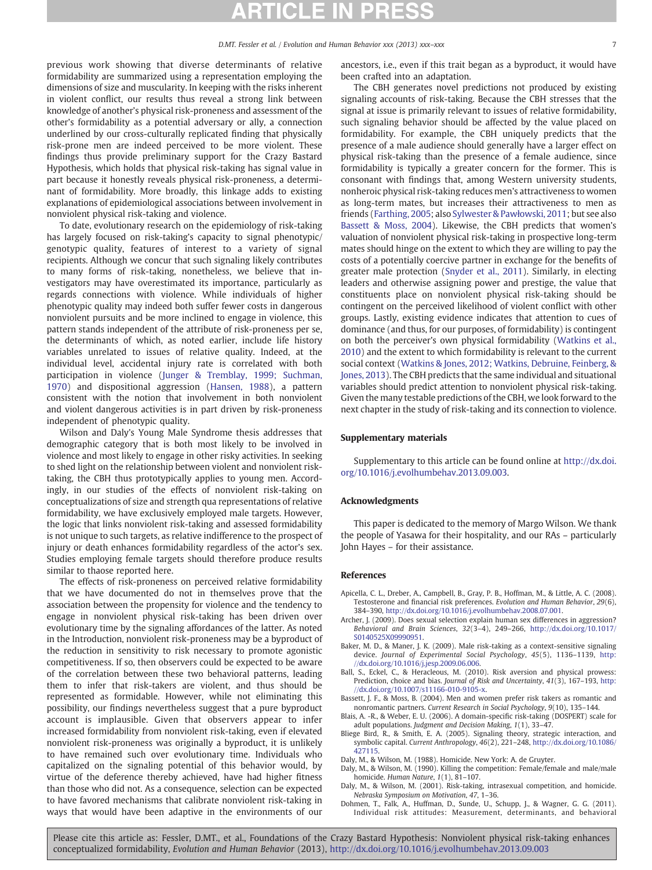<span id="page-6-0"></span>previous work showing that diverse determinants of relative formidability are summarized using a representation employing the dimensions of size and muscularity. In keeping with the risks inherent in violent conflict, our results thus reveal a strong link between knowledge of another's physical risk-proneness and assessment of the other's formidability as a potential adversary or ally, a connection underlined by our cross-culturally replicated finding that physically risk-prone men are indeed perceived to be more violent. These findings thus provide preliminary support for the Crazy Bastard Hypothesis, which holds that physical risk-taking has signal value in part because it honestly reveals physical risk-proneness, a determinant of formidability. More broadly, this linkage adds to existing explanations of epidemiological associations between involvement in nonviolent physical risk-taking and violence.

To date, evolutionary research on the epidemiology of risk-taking has largely focused on risk-taking's capacity to signal phenotypic/ genotypic quality, features of interest to a variety of signal recipients. Although we concur that such signaling likely contributes to many forms of risk-taking, nonetheless, we believe that investigators may have overestimated its importance, particularly as regards connections with violence. While individuals of higher phenotypic quality may indeed both suffer fewer costs in dangerous nonviolent pursuits and be more inclined to engage in violence, this pattern stands independent of the attribute of risk-proneness per se, the determinants of which, as noted earlier, include life history variables unrelated to issues of relative quality. Indeed, at the individual level, accidental injury rate is correlated with both participation in violence [\(Junger & Tremblay, 1999; Suchman,](#page-7-0) [1970](#page-7-0)) and dispositional aggression ([Hansen, 1988](#page-7-0)), a pattern consistent with the notion that involvement in both nonviolent and violent dangerous activities is in part driven by risk-proneness independent of phenotypic quality.

Wilson and Daly's Young Male Syndrome thesis addresses that demographic category that is both most likely to be involved in violence and most likely to engage in other risky activities. In seeking to shed light on the relationship between violent and nonviolent risktaking, the CBH thus prototypically applies to young men. Accordingly, in our studies of the effects of nonviolent risk-taking on conceptualizations of size and strength qua representations of relative formidability, we have exclusively employed male targets. However, the logic that links nonviolent risk-taking and assessed formidability is not unique to such targets, as relative indifference to the prospect of injury or death enhances formidability regardless of the actor's sex. Studies employing female targets should therefore produce results similar to thaose reported here.

The effects of risk-proneness on perceived relative formidability that we have documented do not in themselves prove that the association between the propensity for violence and the tendency to engage in nonviolent physical risk-taking has been driven over evolutionary time by the signaling affordances of the latter. As noted in the Introduction, nonviolent risk-proneness may be a byproduct of the reduction in sensitivity to risk necessary to promote agonistic competitiveness. If so, then observers could be expected to be aware of the correlation between these two behavioral patterns, leading them to infer that risk-takers are violent, and thus should be represented as formidable. However, while not eliminating this possibility, our findings nevertheless suggest that a pure byproduct account is implausible. Given that observers appear to infer increased formidability from nonviolent risk-taking, even if elevated nonviolent risk-proneness was originally a byproduct, it is unlikely to have remained such over evolutionary time. Individuals who capitalized on the signaling potential of this behavior would, by virtue of the deference thereby achieved, have had higher fitness than those who did not. As a consequence, selection can be expected to have favored mechanisms that calibrate nonviolent risk-taking in ways that would have been adaptive in the environments of our

ancestors, i.e., even if this trait began as a byproduct, it would have been crafted into an adaptation.

The CBH generates novel predictions not produced by existing signaling accounts of risk-taking. Because the CBH stresses that the signal at issue is primarily relevant to issues of relative formidability, such signaling behavior should be affected by the value placed on formidability. For example, the CBH uniquely predicts that the presence of a male audience should generally have a larger effect on physical risk-taking than the presence of a female audience, since formidability is typically a greater concern for the former. This is consonant with findings that, among Western university students, nonheroic physical risk-taking reduces men's attractiveness to women as long-term mates, but increases their attractiveness to men as friends ([Farthing, 2005](#page-7-0); also [Sylwester & Paw](#page-7-0)łowski, 2011; but see also Bassett & Moss, 2004). Likewise, the CBH predicts that women's valuation of nonviolent physical risk-taking in prospective long-term mates should hinge on the extent to which they are willing to pay the costs of a potentially coercive partner in exchange for the benefits of greater male protection ([Snyder et al., 2011](#page-7-0)). Similarly, in electing leaders and otherwise assigning power and prestige, the value that constituents place on nonviolent physical risk-taking should be contingent on the perceived likelihood of violent conflict with other groups. Lastly, existing evidence indicates that attention to cues of dominance (and thus, for our purposes, of formidability) is contingent on both the perceiver's own physical formidability ([Watkins et al.,](#page-7-0) [2010\)](#page-7-0) and the extent to which formidability is relevant to the current social context [\(Watkins & Jones, 2012; Watkins, Debruine, Feinberg, &](#page-7-0) [Jones, 2013](#page-7-0)). The CBH predicts that the same individual and situational variables should predict attention to nonviolent physical risk-taking. Given the many testable predictions of the CBH, we look forward to the next chapter in the study of risk-taking and its connection to violence.

### Supplementary materials

Supplementary to this article can be found online at [http://dx.doi.](http://dx.doi.org/10.1016/j.evolhumbehav.2013.09.003) [org/10.1016/j.evolhumbehav.2013.09.003.](http://dx.doi.org/10.1016/j.evolhumbehav.2013.09.003)

## Acknowledgments

This paper is dedicated to the memory of Margo Wilson. We thank the people of Yasawa for their hospitality, and our RAs – particularly John Hayes – for their assistance.

### References

- Apicella, C. L., Dreber, A., Campbell, B., Gray, P. B., Hoffman, M., & Little, A. C. (2008). Testosterone and financial risk preferences. Evolution and Human Behavior, 29(6), 384–390, http://dx.doi.org/[10.1016/j.evolhumbehav.2008.07.001.](http://dx.doi.org/10.1016/j.evolhumbehav.2008.07.001)
- Archer, J. (2009). Does sexual selection explain human sex differences in aggression? Behavioral and Brain Sciences, 32(3–4), 249–266, http://dx.doi.org[/10.1017/](http://dx.doi.org/10.1017/S0140525X09990951) [S0140525X09990951.](http://dx.doi.org/10.1017/S0140525X09990951)
- Baker, M. D., & Maner, J. K. (2009). Male risk-taking as a context-sensitive signaling device. Journal of Experimental Social Psychology, 45(5), 1136–1139, http: //dx.doi.org/[10.1016/j.jesp.2009.06.006.](http://dx.doi.org/10.1016/j.jesp.2009.06.006)
- Ball, S., Eckel, C., & Heracleous, M. (2010). Risk aversion and physical prowess: Prediction, choice and bias. Journal of Risk and Uncertainty, 41(3), 167-193, http: //dx.doi.org/[10.1007/s11166-010-9105-x](http://dx.doi.org/10.1007/s11166-010-9105-x).
- Bassett, J. F., & Moss, B. (2004). Men and women prefer risk takers as romantic and nonromantic partners. Current Research in Social Psychology, 9(10), 135–144.
- Blais, A. -R., & Weber, E. U. (2006). A domain-specific risk-taking (DOSPERT) scale for adult populations. Judgment and Decision Making, 1(1), 33–47.
- Bliege Bird, R., & Smith, E. A. (2005). Signaling theory, strategic interaction, and symbolic capital. Current Anthropology, 46(2), 221–248, http://dx.doi.org/[10.1086/](http://dx.doi.org/10.1086/427115) [427115](http://dx.doi.org/10.1086/427115).
- Daly, M., & Wilson, M. (1988). Homicide. New York: A. de Gruyter. Daly, M., & Wilson, M. (1990). Killing the competition: Female/female and male/male
- homicide. Human Nature, 1(1), 81-107. Daly, M., & Wilson, M. (2001). Risk-taking, intrasexual competition, and homicide.
- Nebraska Symposium on Motivation, 47, 1–36.
- Dohmen, T., Falk, A., Huffman, D., Sunde, U., Schupp, J., & Wagner, G. G. (2011). Individual risk attitudes: Measurement, determinants, and behavioral